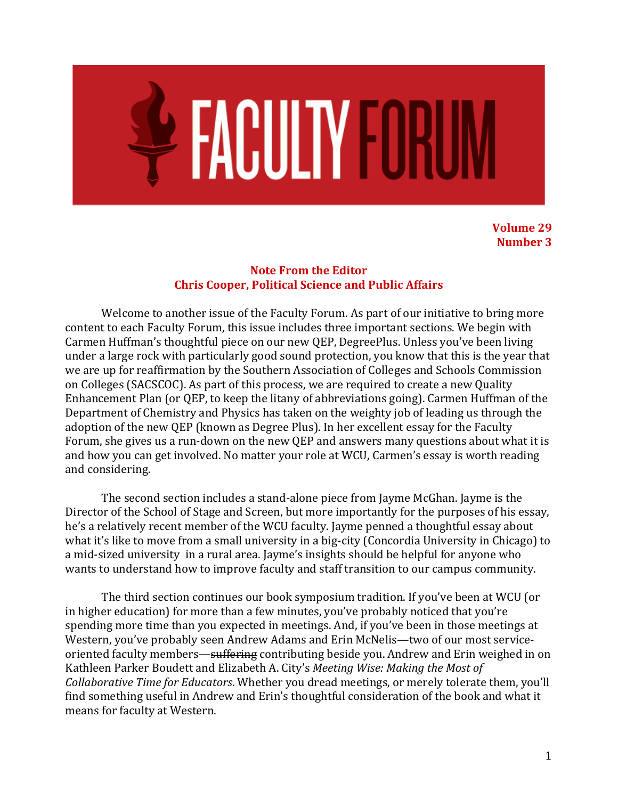

**Volume 29 Number 3** 

### **Note From the Editor Chris Cooper, Political Science and Public Affairs**

Welcome to another issue of the Faculty Forum. As part of our initiative to bring more content to each Faculty Forum, this issue includes three important sections. We begin with Carmen Huffman's thoughtful piece on our new QEP, DegreePlus. Unless you've been living under a large rock with particularly good sound protection, you know that this is the year that we are up for reaffirmation by the Southern Association of Colleges and Schools Commission on Colleges (SACSCOC). As part of this process, we are required to create a new Quality Enhancement Plan (or QEP, to keep the litany of abbreviations going). Carmen Huffman of the Department of Chemistry and Physics has taken on the weighty job of leading us through the adoption of the new QEP (known as Degree Plus). In her excellent essay for the Faculty Forum, she gives us a run-down on the new QEP and answers many questions about what it is and how you can get involved. No matter your role at WCU, Carmen's essay is worth reading and considering.

The second section includes a stand-alone piece from Jayme McGhan. Jayme is the Director of the School of Stage and Screen, but more importantly for the purposes of his essay, he's a relatively recent member of the WCU faculty. Jayme penned a thoughtful essay about what it's like to move from a small university in a big-city (Concordia University in Chicago) to a mid-sized university in a rural area. Jayme's insights should be helpful for anyone who wants to understand how to improve faculty and staff transition to our campus community.

The third section continues our book symposium tradition. If you've been at WCU (or in higher education) for more than a few minutes, you've probably noticed that you're spending more time than you expected in meetings. And, if you've been in those meetings at Western, you've probably seen Andrew Adams and Erin McNelis—two of our most serviceoriented faculty members—suffering contributing beside you. Andrew and Erin weighed in on Kathleen Parker Boudett and Elizabeth A. City's *Meeting Wise: Making the Most of Collaborative Time for Educators*. Whether you dread meetings, or merely tolerate them, you'll find something useful in Andrew and Erin's thoughtful consideration of the book and what it means for faculty at Western.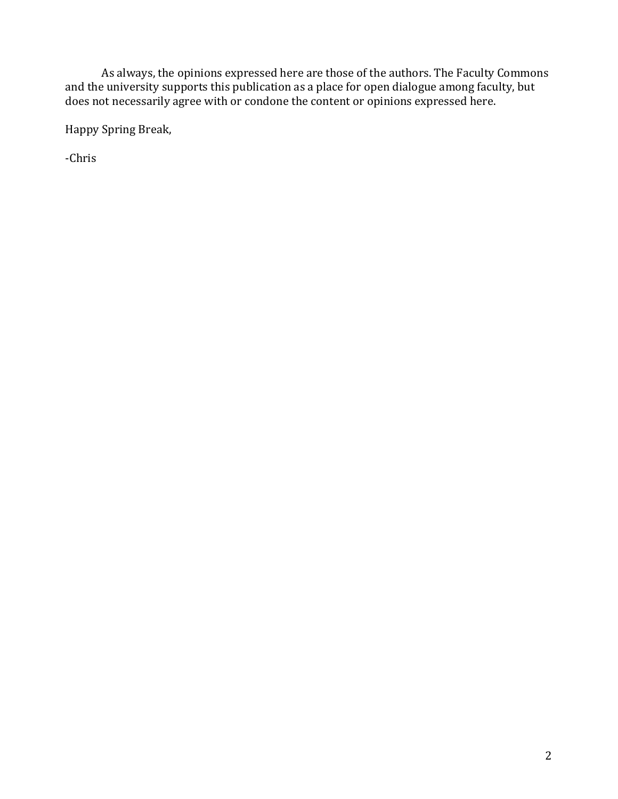As always, the opinions expressed here are those of the authors. The Faculty Commons and the university supports this publication as a place for open dialogue among faculty, but does not necessarily agree with or condone the content or opinions expressed here.

Happy Spring Break,

-Chris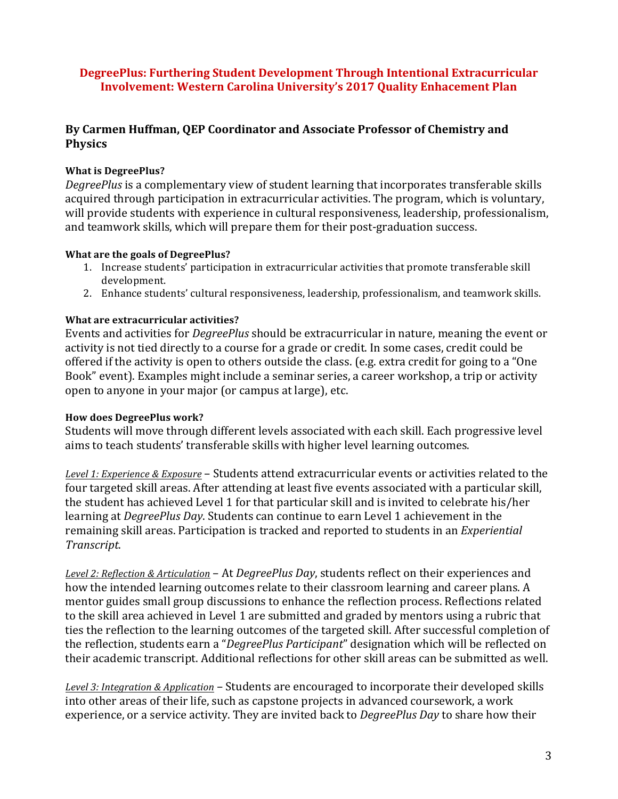# **DegreePlus: Furthering Student Development Through Intentional Extracurricular Involvement: Western Carolina University's 2017 Quality Enhacement Plan**

# By Carmen Huffman, OEP Coordinator and Associate Professor of Chemistry and **Physics**

### **What is DegreePlus?**

*DegreePlus* is a complementary view of student learning that incorporates transferable skills acquired through participation in extracurricular activities. The program, which is voluntary, will provide students with experience in cultural responsiveness, leadership, professionalism, and teamwork skills, which will prepare them for their post-graduation success.

#### **What are the goals of DegreePlus?**

- 1. Increase students' participation in extracurricular activities that promote transferable skill development.
- 2. Enhance students' cultural responsiveness, leadership, professionalism, and teamwork skills.

#### **What are extracurricular activities?**

Events and activities for *DegreePlus* should be extracurricular in nature, meaning the event or activity is not tied directly to a course for a grade or credit. In some cases, credit could be offered if the activity is open to others outside the class. (e.g. extra credit for going to a "One Book" event). Examples might include a seminar series, a career workshop, a trip or activity open to anyone in your major (or campus at large), etc.

#### **How does DegreePlus work?**

Students will move through different levels associated with each skill. Each progressive level aims to teach students' transferable skills with higher level learning outcomes.

Level 1: Experience & Exposure – Students attend extracurricular events or activities related to the four targeted skill areas. After attending at least five events associated with a particular skill, the student has achieved Level 1 for that particular skill and is invited to celebrate his/her learning at *DegreePlus Day*. Students can continue to earn Level 1 achievement in the remaining skill areas. Participation is tracked and reported to students in an *Experiential Transcript*.

Level 2: Reflection & Articulation – At *DegreePlus Day*, students reflect on their experiences and how the intended learning outcomes relate to their classroom learning and career plans. A mentor guides small group discussions to enhance the reflection process. Reflections related to the skill area achieved in Level 1 are submitted and graded by mentors using a rubric that ties the reflection to the learning outcomes of the targeted skill. After successful completion of the reflection, students earn a "*DegreePlus Participant*" designation which will be reflected on their academic transcript. Additional reflections for other skill areas can be submitted as well.

*Level 3: Integration & Application* – Students are encouraged to incorporate their developed skills into other areas of their life, such as capstone projects in advanced coursework, a work experience, or a service activity. They are invited back to *DegreePlus Day* to share how their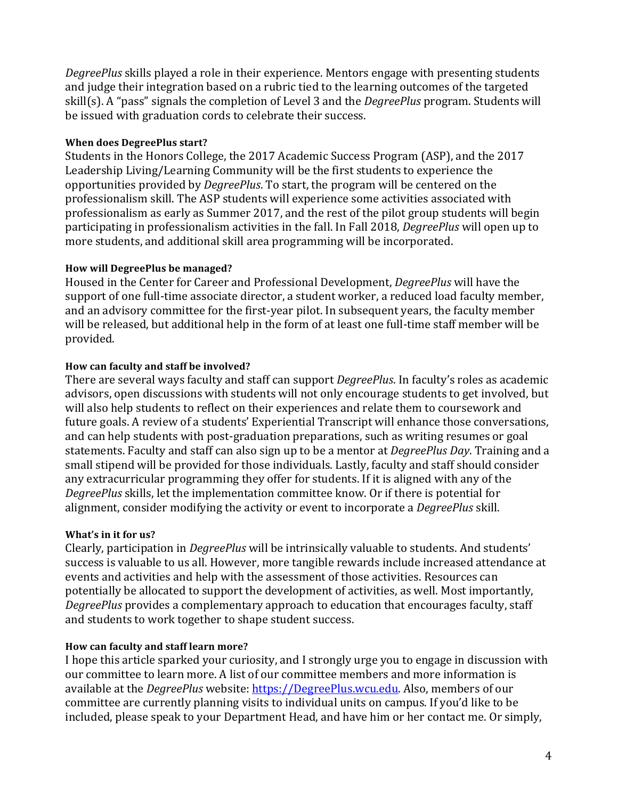*DegreePlus* skills played a role in their experience. Mentors engage with presenting students and judge their integration based on a rubric tied to the learning outcomes of the targeted skill(s). A "pass" signals the completion of Level 3 and the *DegreePlus* program. Students will be issued with graduation cords to celebrate their success.

### **When does DegreePlus start?**

Students in the Honors College, the 2017 Academic Success Program (ASP), and the 2017 Leadership Living/Learning Community will be the first students to experience the opportunities provided by *DegreePlus*. To start, the program will be centered on the professionalism skill. The ASP students will experience some activities associated with professionalism as early as Summer 2017, and the rest of the pilot group students will begin participating in professionalism activities in the fall. In Fall 2018, *DegreePlus* will open up to more students, and additional skill area programming will be incorporated.

#### **How will DegreePlus be managed?**

Housed in the Center for Career and Professional Development, *DegreePlus* will have the support of one full-time associate director, a student worker, a reduced load faculty member, and an advisory committee for the first-year pilot. In subsequent years, the faculty member will be released, but additional help in the form of at least one full-time staff member will be provided.

#### How can faculty and staff be involved?

There are several ways faculty and staff can support *DegreePlus*. In faculty's roles as academic advisors, open discussions with students will not only encourage students to get involved, but will also help students to reflect on their experiences and relate them to coursework and future goals. A review of a students' Experiential Transcript will enhance those conversations, and can help students with post-graduation preparations, such as writing resumes or goal statements. Faculty and staff can also sign up to be a mentor at *DegreePlus Day*. Training and a small stipend will be provided for those individuals. Lastly, faculty and staff should consider any extracurricular programming they offer for students. If it is aligned with any of the *DegreePlus* skills, let the implementation committee know. Or if there is potential for alignment, consider modifying the activity or event to incorporate a *DegreePlus* skill.

## **What's in it for us?**

Clearly, participation in *DegreePlus* will be intrinsically valuable to students. And students' success is valuable to us all. However, more tangible rewards include increased attendance at events and activities and help with the assessment of those activities. Resources can potentially be allocated to support the development of activities, as well. Most importantly, *DegreePlus* provides a complementary approach to education that encourages faculty, staff and students to work together to shape student success.

## How can faculty and staff learn more?

I hope this article sparked your curiosity, and I strongly urge you to engage in discussion with our committee to learn more. A list of our committee members and more information is available at the *DegreePlus* website: https://DegreePlus.wcu.edu. Also, members of our committee are currently planning visits to individual units on campus. If you'd like to be included, please speak to your Department Head, and have him or her contact me. Or simply,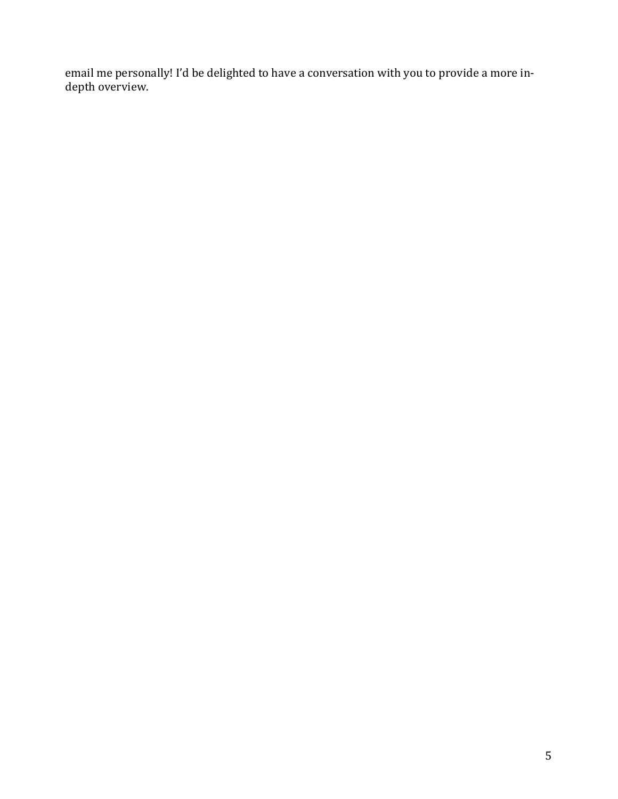email me personally! I'd be delighted to have a conversation with you to provide a more indepth overview.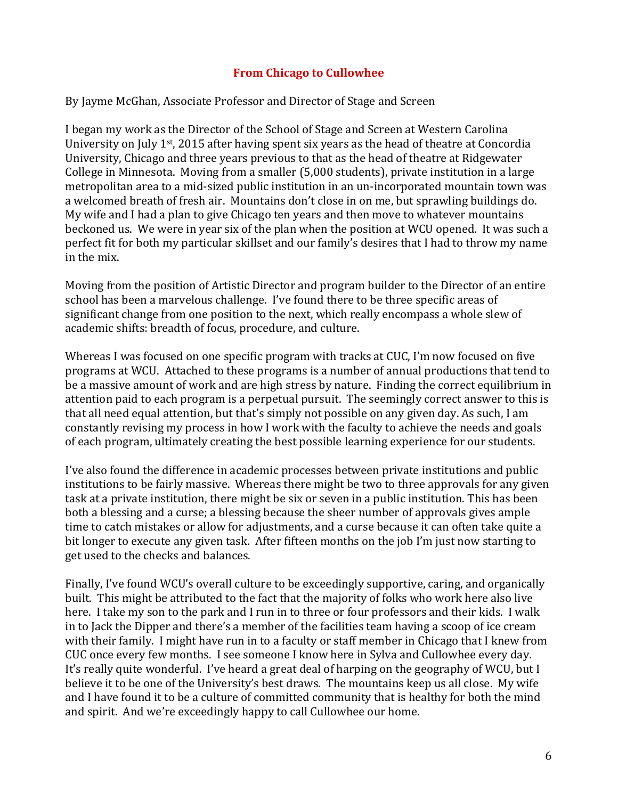# **From Chicago to Cullowhee**

By Jayme McGhan, Associate Professor and Director of Stage and Screen

I began my work as the Director of the School of Stage and Screen at Western Carolina University on July  $1^{st}$ , 2015 after having spent six years as the head of theatre at Concordia University, Chicago and three years previous to that as the head of theatre at Ridgewater College in Minnesota. Moving from a smaller (5,000 students), private institution in a large metropolitan area to a mid-sized public institution in an un-incorporated mountain town was a welcomed breath of fresh air. Mountains don't close in on me, but sprawling buildings do. My wife and I had a plan to give Chicago ten years and then move to whatever mountains beckoned us. We were in year six of the plan when the position at WCU opened. It was such a perfect fit for both my particular skillset and our family's desires that I had to throw my name in the mix.

Moving from the position of Artistic Director and program builder to the Director of an entire school has been a marvelous challenge. I've found there to be three specific areas of significant change from one position to the next, which really encompass a whole slew of academic shifts: breadth of focus, procedure, and culture.

Whereas I was focused on one specific program with tracks at CUC, I'm now focused on five programs at WCU. Attached to these programs is a number of annual productions that tend to be a massive amount of work and are high stress by nature. Finding the correct equilibrium in attention paid to each program is a perpetual pursuit. The seemingly correct answer to this is that all need equal attention, but that's simply not possible on any given day. As such, I am constantly revising my process in how I work with the faculty to achieve the needs and goals of each program, ultimately creating the best possible learning experience for our students.

I've also found the difference in academic processes between private institutions and public institutions to be fairly massive. Whereas there might be two to three approvals for any given task at a private institution, there might be six or seven in a public institution. This has been both a blessing and a curse; a blessing because the sheer number of approvals gives ample time to catch mistakes or allow for adjustments, and a curse because it can often take quite a bit longer to execute any given task. After fifteen months on the job I'm just now starting to get used to the checks and balances.

Finally, I've found WCU's overall culture to be exceedingly supportive, caring, and organically built. This might be attributed to the fact that the majority of folks who work here also live here. I take my son to the park and I run in to three or four professors and their kids. I walk in to Jack the Dipper and there's a member of the facilities team having a scoop of ice cream with their family. I might have run in to a faculty or staff member in Chicago that I knew from CUC once every few months. I see someone I know here in Sylva and Cullowhee every day. It's really quite wonderful. I've heard a great deal of harping on the geography of WCU, but I believe it to be one of the University's best draws. The mountains keep us all close. My wife and I have found it to be a culture of committed community that is healthy for both the mind and spirit. And we're exceedingly happy to call Cullowhee our home.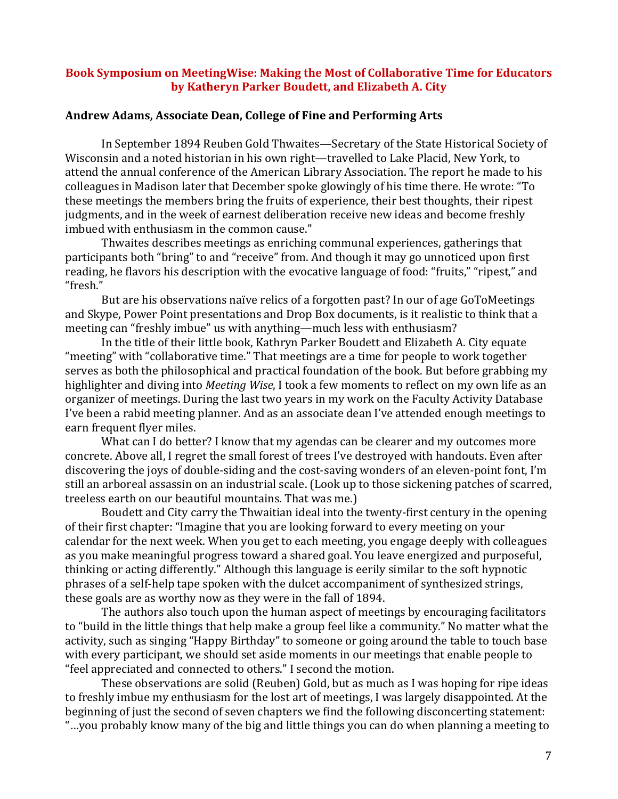### **Book Symposium on MeetingWise: Making the Most of Collaborative Time for Educators by Katheryn Parker Boudett, and Elizabeth A. City**

#### Andrew Adams, Associate Dean, College of Fine and Performing Arts

In September 1894 Reuben Gold Thwaites—Secretary of the State Historical Society of Wisconsin and a noted historian in his own right—travelled to Lake Placid, New York, to attend the annual conference of the American Library Association. The report he made to his colleagues in Madison later that December spoke glowingly of his time there. He wrote: "To these meetings the members bring the fruits of experience, their best thoughts, their ripest judgments, and in the week of earnest deliberation receive new ideas and become freshly imbued with enthusiasm in the common cause."

Thwaites describes meetings as enriching communal experiences, gatherings that participants both "bring" to and "receive" from. And though it may go unnoticed upon first reading, he flavors his description with the evocative language of food: "fruits," "ripest," and "fresh." 

But are his observations naïve relics of a forgotten past? In our of age GoToMeetings and Skype, Power Point presentations and Drop Box documents, is it realistic to think that a meeting can "freshly imbue" us with anything—much less with enthusiasm?

In the title of their little book, Kathryn Parker Boudett and Elizabeth A. City equate "meeting" with "collaborative time." That meetings are a time for people to work together serves as both the philosophical and practical foundation of the book. But before grabbing my highlighter and diving into *Meeting Wise*, I took a few moments to reflect on my own life as an organizer of meetings. During the last two years in my work on the Faculty Activity Database I've been a rabid meeting planner. And as an associate dean I've attended enough meetings to earn frequent flyer miles.

What can I do better? I know that my agendas can be clearer and my outcomes more concrete. Above all, I regret the small forest of trees I've destroyed with handouts. Even after discovering the joys of double-siding and the cost-saving wonders of an eleven-point font, I'm still an arboreal assassin on an industrial scale. (Look up to those sickening patches of scarred, treeless earth on our beautiful mountains. That was me.)

Boudett and City carry the Thwaitian ideal into the twenty-first century in the opening of their first chapter: "Imagine that you are looking forward to every meeting on your calendar for the next week. When you get to each meeting, you engage deeply with colleagues as you make meaningful progress toward a shared goal. You leave energized and purposeful, thinking or acting differently." Although this language is eerily similar to the soft hypnotic phrases of a self-help tape spoken with the dulcet accompaniment of synthesized strings, these goals are as worthy now as they were in the fall of 1894.

The authors also touch upon the human aspect of meetings by encouraging facilitators to "build in the little things that help make a group feel like a community." No matter what the activity, such as singing "Happy Birthday" to someone or going around the table to touch base with every participant, we should set aside moments in our meetings that enable people to "feel appreciated and connected to others." I second the motion.

These observations are solid (Reuben) Gold, but as much as I was hoping for ripe ideas to freshly imbue my enthusiasm for the lost art of meetings, I was largely disappointed. At the beginning of just the second of seven chapters we find the following disconcerting statement: "...you probably know many of the big and little things you can do when planning a meeting to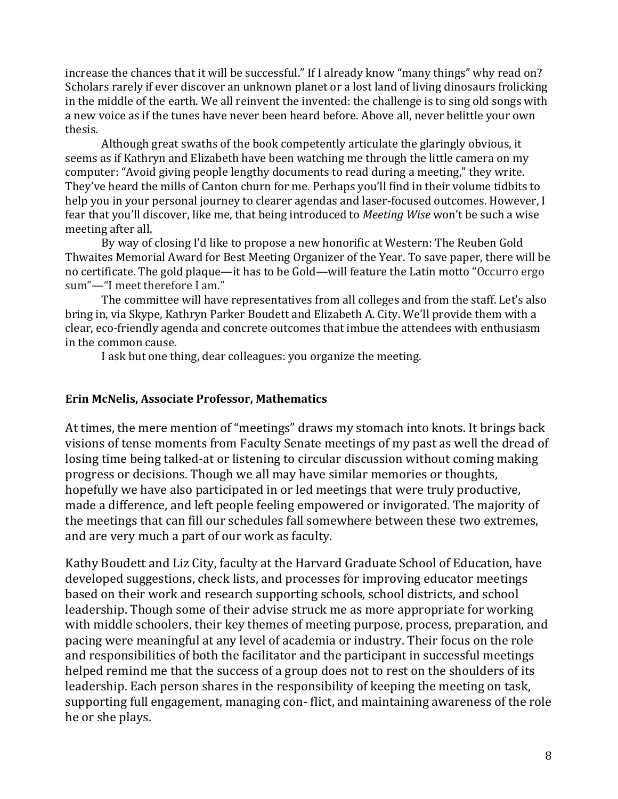increase the chances that it will be successful." If I already know "many things" why read on? Scholars rarely if ever discover an unknown planet or a lost land of living dinosaurs frolicking in the middle of the earth. We all reinvent the invented: the challenge is to sing old songs with a new voice as if the tunes have never been heard before. Above all, never belittle your own thesis.

Although great swaths of the book competently articulate the glaringly obvious, it seems as if Kathryn and Elizabeth have been watching me through the little camera on my computer: "Avoid giving people lengthy documents to read during a meeting," they write. They've heard the mills of Canton churn for me. Perhaps you'll find in their volume tidbits to help you in your personal journey to clearer agendas and laser-focused outcomes. However, I fear that you'll discover, like me, that being introduced to *Meeting Wise* won't be such a wise meeting after all.

By way of closing I'd like to propose a new honorific at Western: The Reuben Gold Thwaites Memorial Award for Best Meeting Organizer of the Year. To save paper, there will be no certificate. The gold plaque—it has to be Gold—will feature the Latin motto "Occurro ergo sum"-"I meet therefore I am."

The committee will have representatives from all colleges and from the staff. Let's also bring in, via Skype, Kathryn Parker Boudett and Elizabeth A. City. We'll provide them with a clear, eco-friendly agenda and concrete outcomes that imbue the attendees with enthusiasm in the common cause.

I ask but one thing, dear colleagues: you organize the meeting.

## **Erin McNelis, Associate Professor, Mathematics**

At times, the mere mention of "meetings" draws my stomach into knots. It brings back visions of tense moments from Faculty Senate meetings of my past as well the dread of losing time being talked-at or listening to circular discussion without coming making progress or decisions. Though we all may have similar memories or thoughts, hopefully we have also participated in or led meetings that were truly productive, made a difference, and left people feeling empowered or invigorated. The majority of the meetings that can fill our schedules fall somewhere between these two extremes, and are very much a part of our work as faculty.

Kathy Boudett and Liz City, faculty at the Harvard Graduate School of Education, have developed suggestions, check lists, and processes for improving educator meetings based on their work and research supporting schools, school districts, and school leadership. Though some of their advise struck me as more appropriate for working with middle schoolers, their key themes of meeting purpose, process, preparation, and pacing were meaningful at any level of academia or industry. Their focus on the role and responsibilities of both the facilitator and the participant in successful meetings helped remind me that the success of a group does not to rest on the shoulders of its leadership. Each person shares in the responsibility of keeping the meeting on task, supporting full engagement, managing con-flict, and maintaining awareness of the role he or she plays.